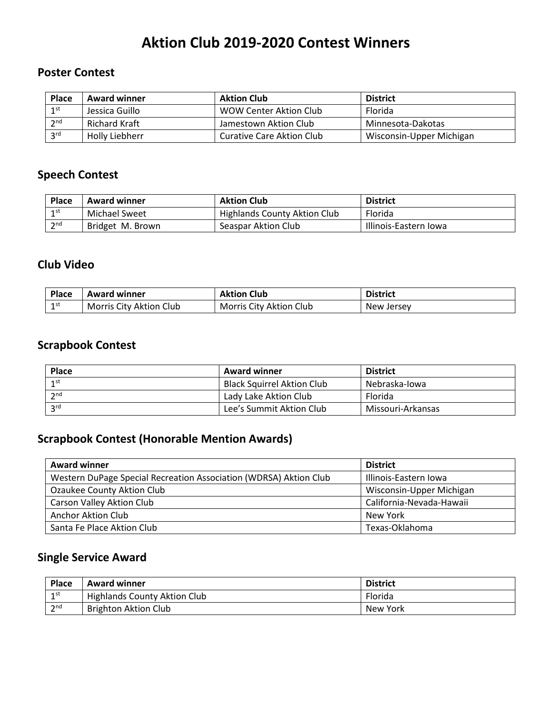# **Aktion Club 2019-2020 Contest Winners**

### **Poster Contest**

| <b>Place</b>    | <b>Award winner</b> | <b>Aktion Club</b>               | <b>District</b>          |
|-----------------|---------------------|----------------------------------|--------------------------|
| 1 <sup>st</sup> | Jessica Guillo      | WOW Center Aktion Club           | Florida                  |
| 2 <sub>nd</sub> | Richard Kraft       | Jamestown Aktion Club            | Minnesota-Dakotas        |
| 2rd             | Holly Liebherr      | <b>Curative Care Aktion Club</b> | Wisconsin-Upper Michigan |

#### **Speech Contest**

| <b>Place</b> | <b>Award winner</b> | <b>Aktion Club</b>           | <b>District</b>       |
|--------------|---------------------|------------------------------|-----------------------|
| $1$ st       | Michael Sweet       | Highlands County Aktion Club | Florida               |
| 2nd          | Bridget M. Brown    | Seaspar Aktion Club          | Illinois-Eastern Iowa |

### **Club Video**

| <b>Place</b> | Award winner            | <b>Aktion Club</b>      | <b>District</b> |
|--------------|-------------------------|-------------------------|-----------------|
| 1st<br>-     | Morris City Aktion Club | Morris City Aktion Club | New Jersey      |

## **Scrapbook Contest**

| <b>Place</b>    | <b>Award winner</b>               | <b>District</b>   |
|-----------------|-----------------------------------|-------------------|
| 1 <sup>st</sup> | <b>Black Squirrel Aktion Club</b> | Nebraska-Iowa     |
| 2 <sub>nd</sub> | Lady Lake Aktion Club             | Florida           |
| <b>2rd</b>      | Lee's Summit Aktion Club          | Missouri-Arkansas |

## **Scrapbook Contest (Honorable Mention Awards)**

| <b>Award winner</b>                                               | <b>District</b>          |  |
|-------------------------------------------------------------------|--------------------------|--|
| Western DuPage Special Recreation Association (WDRSA) Aktion Club | Illinois-Eastern Iowa    |  |
| Ozaukee County Aktion Club                                        | Wisconsin-Upper Michigan |  |
| Carson Valley Aktion Club                                         | California-Nevada-Hawaii |  |
| Anchor Aktion Club                                                | New York                 |  |
| Santa Fe Place Aktion Club                                        | Texas-Oklahoma           |  |

## **Single Service Award**

| <b>Place</b>    | <b>Award winner</b>                 | <b>District</b> |
|-----------------|-------------------------------------|-----------------|
| 1 <sup>st</sup> | <b>Highlands County Aktion Club</b> | Florida         |
| 2 <sup>nd</sup> | <b>Brighton Aktion Club</b>         | New York        |